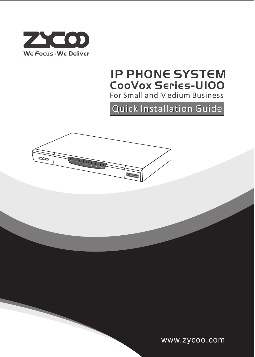

## For Small and Medium Business IP PHONE SYSTEM CooVox Series-U100

# Q**Q**u**u**i**i**c**c**k I **k I**n**n**s**s**t**t**a**a**l**l**l**l**a**a**t**t**i**i**o**o**n G**n Gu**u**i**i**d**d**e**e



www.zycoo.com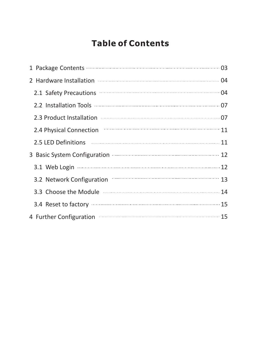## **Table of Contents**

| 2.1 Safety Precautions <b>CONSUMER</b> 2.1 Safety Precautions <b>CONSUMER</b>    |  |
|----------------------------------------------------------------------------------|--|
|                                                                                  |  |
| 2.3 Product Installation manufactured and 07                                     |  |
| 2.4 Physical Connection <b>Connection</b> 2.4 Physical Connection                |  |
| 2.5 LED Definitions <b>William Communities</b> 2.5 LED Definitions <b>Manual</b> |  |
| 3 Basic System Configuration manufactured and 12                                 |  |
|                                                                                  |  |
| 3.2 Network Configuration <b>Configuration</b> 13                                |  |
| 3.3 Choose the Module <b>Commission and Street and August</b> 24                 |  |
| 3.4 Reset to factory manufactured and 15                                         |  |
| 4 Further Configuration manufactured and 15                                      |  |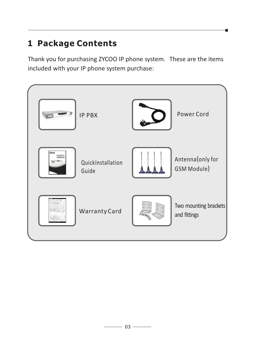# **1 Package Contents**

Thank you for purchasing ZYCOO IP phone system. These are the items included with your IP phone system purchase:

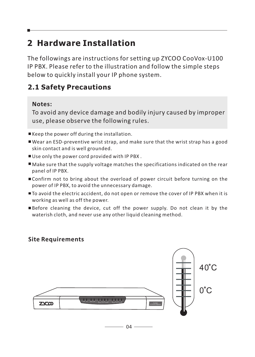# **2 Hardware Installation**

The followings are instructions for setting up ZYCOO CooVox-U100 IP PBX. Please refer to the illustration and follow the simple steps below to quickly install your IP phone system.

### **2.1 Safety Precautions**

#### **Notes:**

To avoid any device damage and bodily injury caused by improper use, please observe the following rules.

- Keep the power off during the installation.
- Wear an ESD-preventive wrist strap, and make sure that the wrist strap has a good skin contact and is well grounded.
- Use only the power cord provided with IP PBX.
- Make sure that the supply voltage matches the specifications indicated on the rear panel of IP PBX.
- Confirm not to bring about the overload of power circuit before turning on the power of IP PBX, to avoid the unnecessary damage.
- $\blacksquare$  To avoid the electric accident, do not open or remove the cover of IP PBX when it is working as well as off the power.
- Before cleaning the device, cut off the power supply. Do not clean it by the waterish cloth, and never use any other liquid cleaning method.

#### **Site Requirements**



- 04 -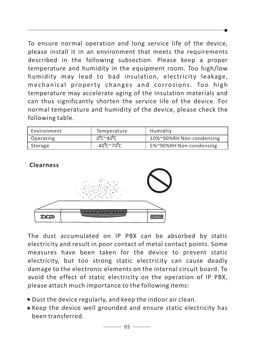To ensure normal operation and long service life of the device, please install it in an environment that meets the requirements described in the following subsection. Please keep a proper temperature and humidity in the equipment room. Too high/low humidity may lead to bad insulation, electricity leakage, mechanical property changes and corrosions. Too high temperature may accelerate aging of the insulation materials and can thus significantly shorten the service life of the device. For normal temperature and humidity of the device, please check the following table.

| Environment | Temperature | Humidity                 |
|-------------|-------------|--------------------------|
| Operating   | 0°C~40°C    | 10%~90%RH Non-condensing |
| Storage     | -40°C~70°C  | 5%~90%RH Non-condensing  |



The dust accumulated on IP PBX can be absorbed by static electricity and result in poor contact of metal contact points. Some measures have been taken for the device to prevent static electricity, but too strong static electricity can cause deadly damage to the electronic elements on the internal circuit board. To avoid the effect of static electricity on the operation of IP PBX, please attach much importance to the following items:

- Dust the device regularly, and keep the indoor air clean.
- Keep the device well grounded and ensure static electricity has been transferred.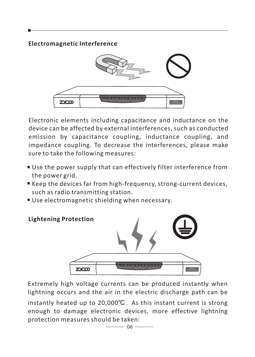**Electromagnetic Interference**



Electronic elements including capacitance and inductance on the device can be affected by external interferences, such as conducted emission by capacitance coupling, inductance coupling, and impedance coupling. To decrease the interferences, please make sure to take the following measures:

- Use the power supply that can effectively filter interference from the power grid.
- Keep the devices far from high-frequency, strong-current devices, such as radio transmitting station.
- Use electromagnetic shielding when necessary.



Extremely high voltage currents can be produced instantly when lightning occurs and the air in the electric discharge path can be

instantly heated up to  $20,000^{\circ}$ C. As this instant current is strong enough to damage electronic devices, more effective lightning protection measures should be taken: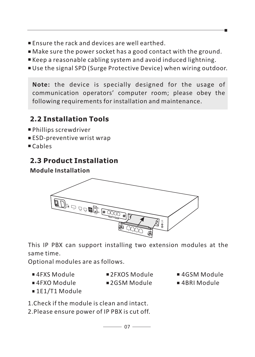- Ensure the rack and devices are well earthed.
- Make sure the power socket has a good contact with the ground.
- Keep a reasonable cabling system and avoid induced lightning.
- Use the signal SPD (Surge Protective Device) when wiring outdoor.

**Note:** the device is specially designed for the usage of communication operators' computer room; please obey the following requirements for installation and maintenance.

### **2.2 Installation Tools**

- Phillips screwdriver
- **ESD-preventive wrist wrap**
- Cables

## **2.3 Product Installation**

#### **Module Installation**



This IP PBX can support installing two extension modules at the same time.

Optional modules are as follows.

- ■4FXS Module ■4FXO Module
- ■2FXOS Module
- 2GSM Module
- ■4GSM Module
- ■4BRI Module

■1E1/T1 Module

1.Check if the module is clean and intact.

2.Please ensure power of IP PBX is cut off.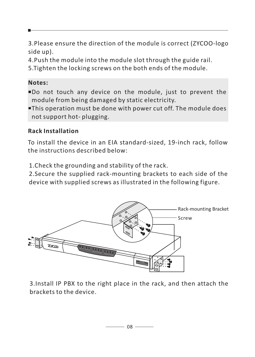3.Please ensure the direction of the module is correct (ZYCOO-logo side up).

4.Push the module into the module slot through the guide rail.

5.Tighten the locking screws on the both ends of the module.

#### **Notes:**

- Do not touch any device on the module, just to prevent the module from being damaged by static electricity.
- This operation must be done with power cut off. The module does not support hot- plugging.

#### **Rack Installation**

To install the device in an EIA standard-sized, 19-inch rack, follow the instructions described below:

1.Check the grounding and stability of the rack.

2.Secure the supplied rack-mounting brackets to each side of the device with supplied screws as illustrated in the following figure.



3.Install IP PBX to the right place in the rack, and then attach the brackets to the device.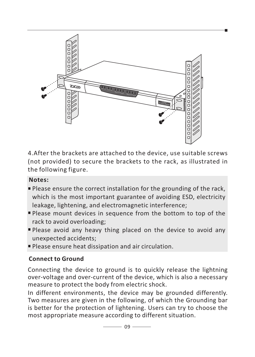

4.After the brackets are attached to the device, use suitable screws (not provided) to secure the brackets to the rack, as illustrated in the following figure.

#### **Notes:**

- Please ensure the correct installation for the grounding of the rack, which is the most important guarantee of avoiding ESD, electricity leakage, lightening, and electromagnetic interference;
- Please mount devices in sequence from the bottom to top of the rack to avoid overloading;
- Please avoid any heavy thing placed on the device to avoid any unexpected accidents;
- Please ensure heat dissipation and air circulation.

#### **Connect to Ground**

Connecting the device to ground is to quickly release the lightning over-voltage and over-current of the device, which is also a necessary measure to protect the body from electric shock.

In different environments, the device may be grounded differently. Two measures are given in the following, of which the Grounding bar is better for the protection of lightening. Users can try to choose the most appropriate measure according to different situation.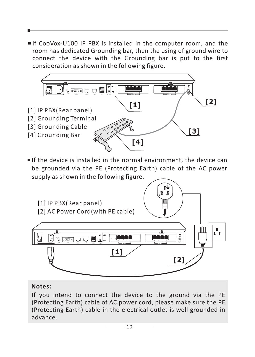■If CooVox-U100 IP PBX is installed in the computer room, and the room has dedicated Grounding bar, then the using of ground wire to connect the device with the Grounding bar is put to the first consideration as shown in the following figure.



#### **Notes:**

If you intend to connect the device to the ground via the PE (Protecting Earth) cable of AC power cord, please make sure the PE (Protecting Earth) cable in the electrical outlet is well grounded in advance.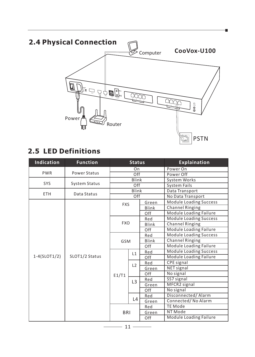## **2.4 Physical Connection CooVox-U100** Ø <u>s sa ng Bin</u> <sup>1</sup> <sup>2</sup> <sup>3</sup> <sup>4</sup> <u>taal</u> ANT  $\rightarrow$ Power Router PSTN

### **2.5 LED Definitions**

| Indication     | <b>Function</b>      | <b>Status</b>       |                |              | <b>Explaination</b>           |
|----------------|----------------------|---------------------|----------------|--------------|-------------------------------|
|                |                      | On                  |                |              | Power On                      |
| <b>PWR</b>     | Power Status         | Off                 |                |              | Power Off                     |
|                |                      |                     | Blink          |              | <b>System Works</b>           |
| <b>SYS</b>     | <b>System Status</b> |                     | Off            |              | <b>System Fails</b>           |
| ETH            | Data Status          |                     | Blink          |              | Data Transport                |
|                |                      |                     | Off            |              | No Data Transport             |
|                |                      | Green<br><b>FXS</b> |                |              | <b>Module Loading Success</b> |
|                |                      |                     |                | Blink        | <b>Channel Ringing</b>        |
|                |                      |                     |                | Off          | Module Loading Failure        |
|                |                      |                     |                | Red          | <b>Module Loading Success</b> |
|                |                      | <b>FXO</b>          |                | <b>Blink</b> | <b>Channel Ringing</b>        |
|                |                      |                     |                | Off          | Module Loading Failure        |
|                |                      |                     |                | Red          | <b>Module Loading Success</b> |
|                |                      | <b>GSM</b>          |                | <b>Blink</b> | <b>Channel Ringing</b>        |
|                |                      |                     |                | Off          | Module Loading Failure        |
|                |                      |                     | L1             | Red          | <b>Module Loading Success</b> |
| $1-4(SLOT1/2)$ | SLOT1/2 Status       |                     |                | Off          | Module Loading Failure        |
|                |                      |                     | L2             | Red          | CPE signal                    |
|                |                      |                     |                | Green        | NET signal                    |
|                |                      | E1/T1               |                | Off          | No signal                     |
|                |                      |                     | L <sub>3</sub> | Red          | SS7 signal                    |
|                |                      |                     |                | Green        | MFCR2 signal                  |
|                |                      |                     |                | Off          | No signal                     |
|                |                      |                     |                | Red          | Disconnected/Alarm            |
|                |                      |                     | L4             | Green        | Connected/No Alarm            |
|                |                      |                     |                | Red          | <b>TE Mode</b>                |
|                |                      | <b>BRI</b>          |                | Green        | NT Mode                       |
|                |                      |                     |                | Off          | Module Loading Failure        |

 $-11-$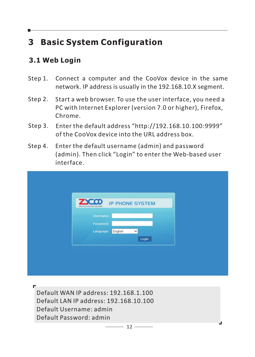# **3 Basic System Configuration**

### **3.1 Web Login**

- Step 1. Connect a computer and the CooVox device in the same network. IP address is usually in the 192.168.10.X segment.
- Step 2. Start a web browser. To use the user interface, you need a PC with Internet Explorer (version 7.0 or higher), Firefox, Chrome.
- Step 3. Enter the default address "http://192.168.10.100:9999" of the CooVox device into the URL address box.
- Step 4. Enter the default username (admin) and password (admin). Then click "Login" to enter the Web-based user interface.

| <b>ZYCOD</b> IP PHONE SYSTEM<br>WE FOCUS WE DELIVER<br>Username:<br>Password:<br>English<br>Language:<br>$\checkmark$<br>Login |  |  |
|--------------------------------------------------------------------------------------------------------------------------------|--|--|
|                                                                                                                                |  |  |
|                                                                                                                                |  |  |
|                                                                                                                                |  |  |
|                                                                                                                                |  |  |
|                                                                                                                                |  |  |
|                                                                                                                                |  |  |

Default WAN IP address: 192.168.1.100 Default LAN IP address: 192.168.10.100 Default Username: admin Default Password: admin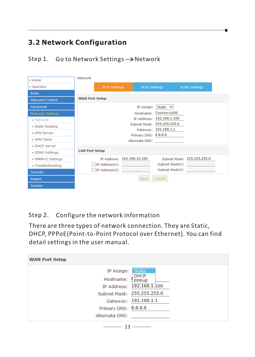### **3.2 Network Configuration**

Step 1. Go to Network Settings  $\rightarrow$  Network

| $\triangleright$ Home   | <b>Network</b>        |                            |                      |                            |                            |  |
|-------------------------|-----------------------|----------------------------|----------------------|----------------------------|----------------------------|--|
| • Operator              |                       | <b>IPv4 Settings</b>       | <b>IPv6 Settings</b> |                            | <b>VLAN Settings</b>       |  |
| <b>Basic</b>            |                       |                            |                      |                            |                            |  |
| <b>Inbound Control</b>  | <b>WAN Port Setup</b> |                            |                      |                            |                            |  |
| Advanced                |                       |                            | IP Assign:           | Static $\vee$              |                            |  |
| <b>Network Settings</b> |                       |                            | Hostname:            | $Coovox-U100$              |                            |  |
| · Network               |                       |                            |                      | IP Address: 192.168.1.100  |                            |  |
| Static Routing          |                       |                            |                      | Subnet Mask: 255.255.255.0 |                            |  |
| <b>VPN Server</b>       |                       |                            |                      | Gateway: 192.168.1.1       |                            |  |
| <b>VPN</b> Client       |                       |                            |                      | Primary DNS: 8.8.8.8       |                            |  |
|                         |                       |                            | Alternate DNS:       |                            |                            |  |
| DHCP Server             | <b>LAN Port Setup</b> |                            |                      |                            |                            |  |
| DDNS Settings           |                       |                            |                      |                            |                            |  |
| SNMPv2 Settings         |                       | IP Address: 192.168.10.100 |                      |                            | Subnet Mask: 255.255.255.0 |  |
| ▶ Troubleshooting       |                       | IP AddressV1:              |                      | Subnet MaskV1:             |                            |  |
| Security                |                       | IP AddressV2:              |                      | Subnet MaskV2:             |                            |  |
| Report                  |                       |                            | Save                 | Cancel                     |                            |  |
| System                  |                       |                            |                      |                            |                            |  |

#### Step 2. Configure the network information

There are three types of network connection. They are Static, DHCP, PPPoE(Point-to-Point Protocol over Ethernet). You can find detail settings in the user manual.

| <b>WAN Port Setup</b>                              |                                                                                                     |
|----------------------------------------------------|-----------------------------------------------------------------------------------------------------|
| IP Assign:<br>Hostname:<br>IP Address:             | <b>Static</b><br><b>DHCP</b><br>PPPoE<br>192.168.1.100<br>Subnet Mask: 255.255.255.0<br>192.168.1.1 |
| Gateway:<br>Primary DNS: 8.8.8.8<br>Alternate DNS: |                                                                                                     |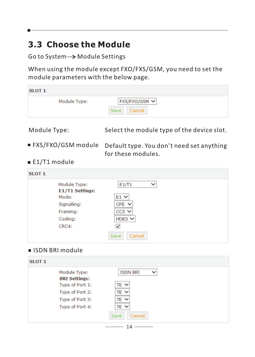## **3.3 Choose the Module**

Go to System  $\rightarrow$  Module Settings

When using the module except FXO/FXS/GSM, you need to set the module parameters with the below page.

| SLOT <sub>1</sub> |      |               |  |
|-------------------|------|---------------|--|
| Module Type:      |      | FXS/FXO/GSM V |  |
|                   | Save | Cancel        |  |
|                   |      |               |  |

Module Type: Select the module type of the device slot.

- FXS/FXO/GSM module Default type. You don't need set anything for these modules.
- E1/T1 module

| Module Type:           | E1/T1<br>w   |
|------------------------|--------------|
| <b>E1/T1 Settings:</b> |              |
| Mode:                  | $E1$ $\vee$  |
| Signalling:            | $CPE$ $\vee$ |
| Framing:               | $CCS$ $\vee$ |
| Coding:                | HDB3 $\vee$  |
| CRC4:                  | ↵            |

#### ISDN BRI module

| Module Type:<br><b>BRI Settings:</b> | <b>ISDN BRI</b> |
|--------------------------------------|-----------------|
| Type of Port 1:                      | TE V            |
| Type of Port 2:                      | TE V            |
| Type of Port 3:                      | TE V            |
| Type of Port 4:                      | TE V            |
|                                      | Cancel<br>Save  |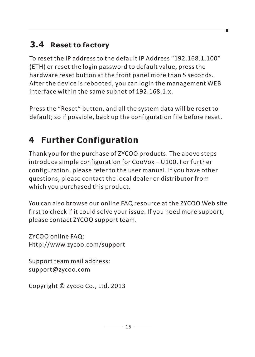## **3.4 Reset to factory**

To reset the IP address to the default IP Address "192.168.1.100" (ETH) or reset the login password to default value, press the hardware reset button at the front panel more than 5 seconds. After the device is rebooted, you can login the management WEB interface within the same subnet of 192.168.1.x.

Press the "Reset" button, and all the system data will be reset to default; so if possible, back up the configuration file before reset.

# **4 Further Configuration**

Thank you for the purchase of ZYCOO products. The above steps introduce simple configuration for CooVox – U100. For further configuration, please refer to the user manual. If you have other questions, please contact the local dealer or distributor from which you purchased this product.

You can also browse our online FAQ resource at the ZYCOO Web site first to check if it could solve your issue. If you need more support, please contact ZYCOO support team.

ZYCOO online FAQ: Http://www.zycoo.com/support

Support team mail address: support@zycoo.com

Copyright © Zycoo Co., Ltd. 2013